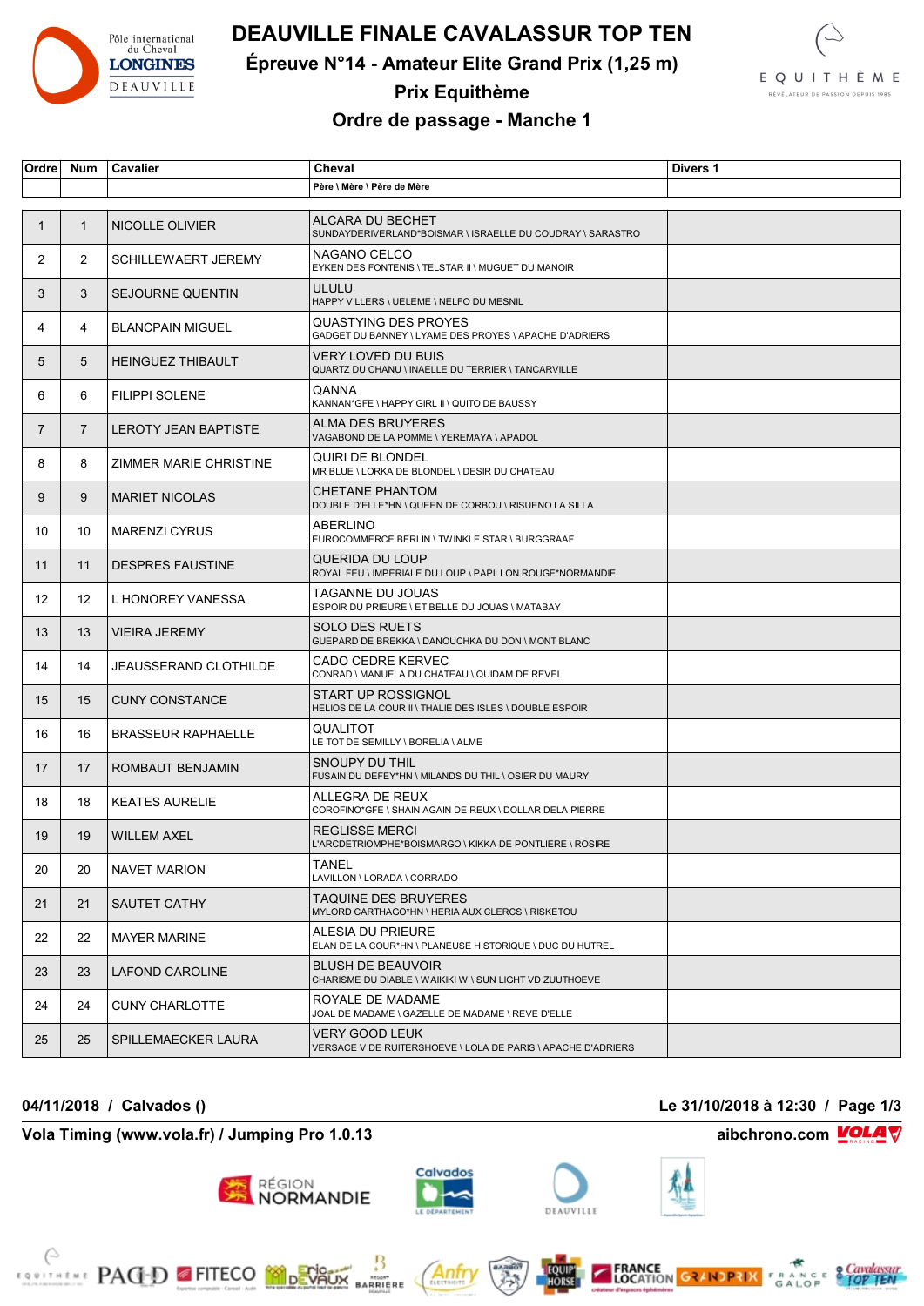

# **DEAUVILLE FINALE CAVALASSUR TOP TEN**

**Épreuve N°14 - Amateur Elite Grand Prix (1,25 m)**



## **Prix Equithème Ordre de passage - Manche 1**

| <b>Ordre</b>   | <b>Num</b>     | Cavalier                     | Cheval                                                                               | Divers 1 |
|----------------|----------------|------------------------------|--------------------------------------------------------------------------------------|----------|
|                |                |                              | Père \ Mère \ Père de Mère                                                           |          |
|                |                |                              |                                                                                      |          |
| $\mathbf{1}$   | $\mathbf{1}$   | NICOLLE OLIVIER              | ALCARA DU BECHET<br>SUNDAYDERIVERLAND*BOISMAR \ ISRAELLE DU COUDRAY \ SARASTRO       |          |
| 2              | $\overline{2}$ | <b>SCHILLEWAERT JEREMY</b>   | NAGANO CELCO<br>EYKEN DES FONTENIS \ TELSTAR II \ MUGUET DU MANOIR                   |          |
| 3              | 3              | <b>SEJOURNE QUENTIN</b>      | <b>ULULU</b><br>HAPPY VILLERS \ UELEME \ NELFO DU MESNIL                             |          |
| 4              | 4              | <b>BLANCPAIN MIGUEL</b>      | QUASTYING DES PROYES<br>GADGET DU BANNEY \ LYAME DES PROYES \ APACHE D'ADRIERS       |          |
| 5              | 5              | <b>HEINGUEZ THIBAULT</b>     | VERY LOVED DU BUIS<br>QUARTZ DU CHANU \ INAELLE DU TERRIER \ TANCARVILLE             |          |
| 6              | 6              | <b>FILIPPI SOLENE</b>        | QANNA<br>KANNAN*GFE \ HAPPY GIRL II \ QUITO DE BAUSSY                                |          |
| $\overline{7}$ | $\overline{7}$ | LEROTY JEAN BAPTISTE         | ALMA DES BRUYERES<br>VAGABOND DE LA POMME \ YEREMAYA \ APADOL                        |          |
| 8              | 8              | ZIMMER MARIE CHRISTINE       | QUIRI DE BLONDEL<br>MR BLUE \ LORKA DE BLONDEL \ DESIR DU CHATEAU                    |          |
| 9              | 9              | <b>MARIET NICOLAS</b>        | <b>CHETANE PHANTOM</b><br>DOUBLE D'ELLE*HN \ QUEEN DE CORBOU \ RISUENO LA SILLA      |          |
| 10             | 10             | <b>MARENZI CYRUS</b>         | <b>ABERLINO</b><br>EUROCOMMERCE BERLIN \ TWINKLE STAR \ BURGGRAAF                    |          |
| 11             | 11             | <b>DESPRES FAUSTINE</b>      | QUERIDA DU LOUP<br>ROYAL FEU \ IMPERIALE DU LOUP \ PAPILLON ROUGE*NORMANDIE          |          |
| 12             | 12             | L HONOREY VANESSA            | TAGANNE DU JOUAS<br>ESPOIR DU PRIEURE \ ET BELLE DU JOUAS \ MATABAY                  |          |
| 13             | 13             | <b>VIEIRA JEREMY</b>         | <b>SOLO DES RUETS</b><br>GUEPARD DE BREKKA \ DANOUCHKA DU DON \ MONT BLANC           |          |
| 14             | 14             | <b>JEAUSSERAND CLOTHILDE</b> | CADO CEDRE KERVEC<br>CONRAD \ MANUELA DU CHATEAU \ QUIDAM DE REVEL                   |          |
| 15             | 15             | <b>CUNY CONSTANCE</b>        | <b>START UP ROSSIGNOL</b><br>HELIOS DE LA COUR II \ THALIE DES ISLES \ DOUBLE ESPOIR |          |
| 16             | 16             | <b>BRASSEUR RAPHAELLE</b>    | QUALITOT<br>LE TOT DE SEMILLY \ BORELIA \ ALME                                       |          |
| 17             | 17             | ROMBAUT BENJAMIN             | SNOUPY DU THIL<br>FUSAIN DU DEFEY*HN \ MILANDS DU THIL \ OSIER DU MAURY              |          |
| 18             | 18             | <b>KEATES AURELIE</b>        | ALLEGRA DE REUX<br>COROFINO*GFE \ SHAIN AGAIN DE REUX \ DOLLAR DELA PIERRE           |          |
| 19             | 19             | <b>WILLEM AXEL</b>           | <b>REGLISSE MERCI</b><br>L'ARCDETRIOMPHE*BOISMARGO \ KIKKA DE PONTLIERE \ ROSIRE     |          |
| 20             | 20             | <b>NAVET MARION</b>          | TANEL<br>LAVILLON \ LORADA \ CORRADO                                                 |          |
| 21             | 21             | SAUTET CATHY                 | TAQUINE DES BRUYERES<br>MYLORD CARTHAGO*HN \ HERIA AUX CLERCS \ RISKETOU             |          |
| 22             | 22             | <b>MAYER MARINE</b>          | ALESIA DU PRIEURE<br>ELAN DE LA COUR*HN \ PLANEUSE HISTORIQUE \ DUC DU HUTREL        |          |
| 23             | 23             | LAFOND CAROLINE              | <b>BLUSH DE BEAUVOIR</b><br>CHARISME DU DIABLE \ WAIKIKI W \ SUN LIGHT VD ZUUTHOEVE  |          |
| 24             | 24             | <b>CUNY CHARLOTTE</b>        | ROYALE DE MADAME<br>JOAL DE MADAME \ GAZELLE DE MADAME \ REVE D'ELLE                 |          |
| 25             | 25             | SPILLEMAECKER LAURA          | VERY GOOD LEUK<br>VERSACE V DE RUITERSHOEVE \ LOLA DE PARIS \ APACHE D'ADRIERS       |          |

**04/11/2018 / Calvados () Le 31/10/2018 à 12:30 / Page 1/3**

**Vola Timing (www.vola.fr) / Jumping Pro 1.0.13 aibchrono.com VOLA** 

**EXAMPLE PAGED FITECO MODEVALLE** 



région<br>**NORMANDIE** 



Anfr

₿

**BARRIERE** 





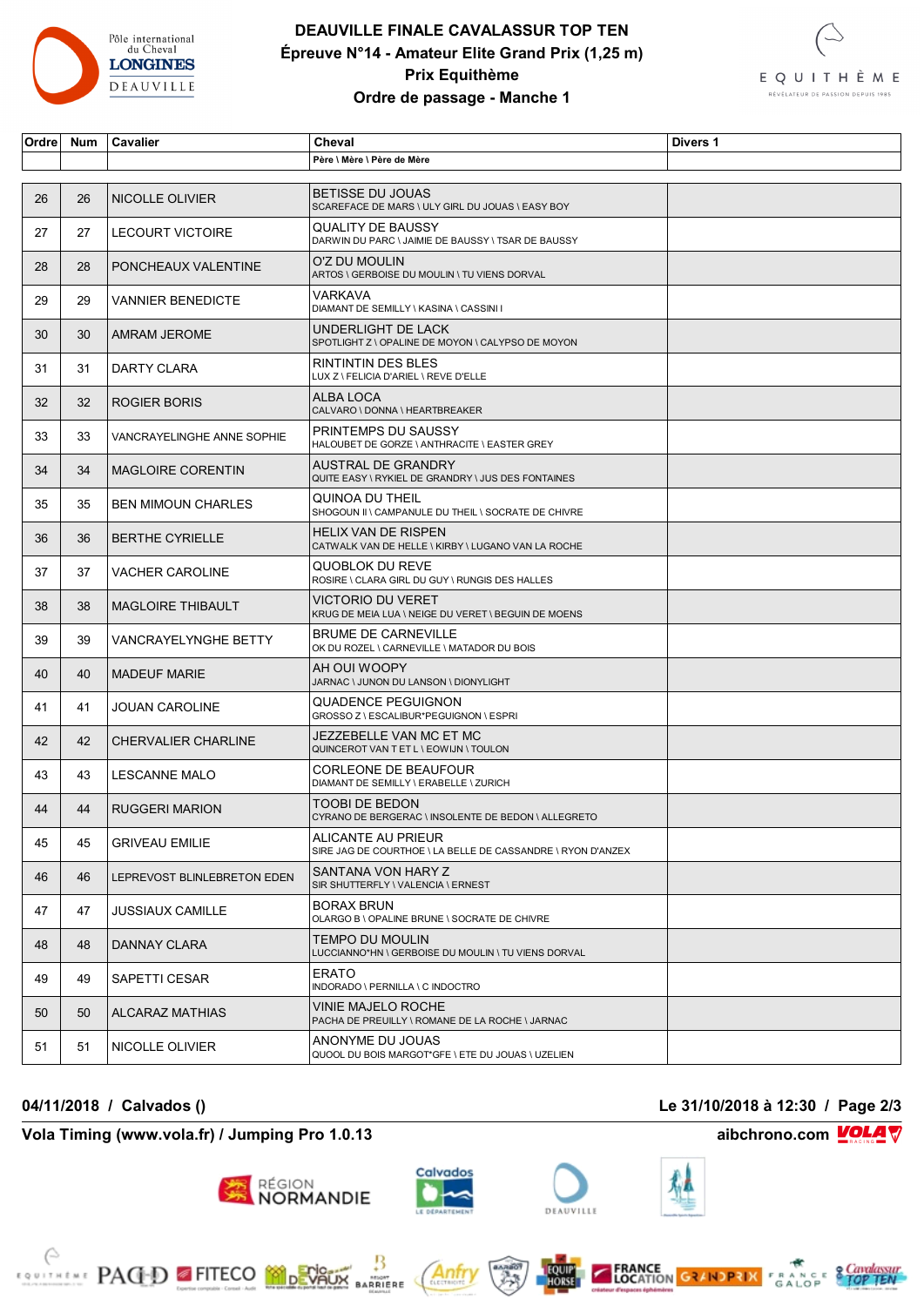

### **DEAUVILLE FINALE CAVALASSUR TOP TEN Épreuve N°14 - Amateur Elite Grand Prix (1,25 m) Prix Equithème Ordre de passage - Manche 1**



| Ordre | <b>Num</b> | Cavalier                    | Cheval                                                                            | Divers 1 |
|-------|------------|-----------------------------|-----------------------------------------------------------------------------------|----------|
|       |            |                             | Père \ Mère \ Père de Mère                                                        |          |
|       |            |                             |                                                                                   |          |
| 26    | 26         | NICOLLE OLIVIER             | <b>BETISSE DU JOUAS</b><br>SCAREFACE DE MARS \ ULY GIRL DU JOUAS \ EASY BOY       |          |
| 27    | 27         | LECOURT VICTOIRE            | QUALITY DE BAUSSY<br>DARWIN DU PARC \ JAIMIE DE BAUSSY \ TSAR DE BAUSSY           |          |
| 28    | 28         | PONCHEAUX VALENTINE         | O'Z DU MOULIN<br>ARTOS \ GERBOISE DU MOULIN \ TU VIENS DORVAL                     |          |
| 29    | 29         | <b>VANNIER BENEDICTE</b>    | VARKAVA<br>DIAMANT DE SEMILLY \ KASINA \ CASSINI I                                |          |
| 30    | 30         | AMRAM JEROME                | UNDERLIGHT DE LACK<br>SPOTLIGHT Z \ OPALINE DE MOYON \ CALYPSO DE MOYON           |          |
| 31    | 31         | DARTY CLARA                 | RINTINTIN DES BLES<br>LUX Z \ FELICIA D'ARIEL \ REVE D'ELLE                       |          |
| 32    | 32         | ROGIER BORIS                | ALBA LOCA<br>CALVARO \ DONNA \ HEARTBREAKER                                       |          |
| 33    | 33         | VANCRAYELINGHE ANNE SOPHIE  | PRINTEMPS DU SAUSSY<br>HALOUBET DE GORZE \ ANTHRACITE \ EASTER GREY               |          |
| 34    | 34         | <b>MAGLOIRE CORENTIN</b>    | AUSTRAL DE GRANDRY<br>QUITE EASY \ RYKIEL DE GRANDRY \ JUS DES FONTAINES          |          |
| 35    | 35         | <b>BEN MIMOUN CHARLES</b>   | QUINOA DU THEIL<br>SHOGOUN II \ CAMPANULE DU THEIL \ SOCRATE DE CHIVRE            |          |
| 36    | 36         | <b>BERTHE CYRIELLE</b>      | <b>HELIX VAN DE RISPEN</b><br>CATWALK VAN DE HELLE \ KIRBY \ LUGANO VAN LA ROCHE  |          |
| 37    | 37         | <b>VACHER CAROLINE</b>      | QUOBLOK DU REVE<br>ROSIRE \ CLARA GIRL DU GUY \ RUNGIS DES HALLES                 |          |
| 38    | 38         | <b>MAGLOIRE THIBAULT</b>    | VICTORIO DU VERET<br>KRUG DE MEIA LUA \ NEIGE DU VERET \ BEGUIN DE MOENS          |          |
| 39    | 39         | VANCRAYELYNGHE BETTY        | <b>BRUME DE CARNEVILLE</b><br>OK DU ROZEL \ CARNEVILLE \ MATADOR DU BOIS          |          |
| 40    | 40         | <b>MADEUF MARIE</b>         | AH OUI WOOPY<br>JARNAC \ JUNON DU LANSON \ DIONYLIGHT                             |          |
| 41    | 41         | <b>JOUAN CAROLINE</b>       | QUADENCE PEGUIGNON<br>GROSSO Z \ ESCALIBUR*PEGUIGNON \ ESPRI                      |          |
| 42    | 42         | <b>CHERVALIER CHARLINE</b>  | JEZZEBELLE VAN MC ET MC<br>QUINCEROT VAN T ET L \ EOWIJN \ TOULON                 |          |
| 43    | 43         | <b>LESCANNE MALO</b>        | CORLEONE DE BEAUFOUR<br>DIAMANT DE SEMILLY \ ERABELLE \ ZURICH                    |          |
| 44    | 44         | <b>RUGGERI MARION</b>       | TOOBI DE BEDON<br>CYRANO DE BERGERAC \ INSOLENTE DE BEDON \ ALLEGRETO             |          |
| 45    | 45         | <b>GRIVEAU EMILIE</b>       | ALICANTE AU PRIEUR<br>SIRE JAG DE COURTHOE \ LA BELLE DE CASSANDRE \ RYON D'ANZEX |          |
| 46    | 46         | LEPREVOST BLINLEBRETON EDEN | SANTANA VON HARY Z<br>SIR SHUTTERFLY \ VALENCIA \ ERNEST                          |          |
| 47    | 47         | <b>JUSSIAUX CAMILLE</b>     | BORAX BRUN<br>OLARGO B \ OPALINE BRUNE \ SOCRATE DE CHIVRE                        |          |
| 48    | 48         | DANNAY CLARA                | TEMPO DU MOULIN<br>LUCCIANNO*HN \ GERBOISE DU MOULIN \ TU VIENS DORVAL            |          |
| 49    | 49         | SAPETTI CESAR               | ERATO<br>INDORADO \ PERNILLA \ C INDOCTRO                                         |          |
| 50    | 50         | <b>ALCARAZ MATHIAS</b>      | VINIE MAJELO ROCHE<br>PACHA DE PREUILLY \ ROMANE DE LA ROCHE \ JARNAC             |          |
| 51    | 51         | NICOLLE OLIVIER             | ANONYME DU JOUAS<br>QUOOL DU BOIS MARGOT*GFE \ ETE DU JOUAS \ UZELIEN             |          |

### **Vola Timing (www.vola.fr) / Jumping Pro 1.0.13 aibchrono.com VOLA**

**EXAMPLE PAGED FITECO MODEVALLE** 

**04/11/2018 / Calvados () Le 31/10/2018 à 12:30 / Page 2/3**





Anfr

₿

**MONT**<br>BARRIERE